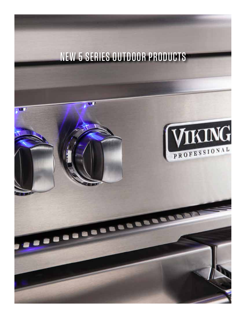# NEW 5 SERIES OUTDOOR PRODUCTS

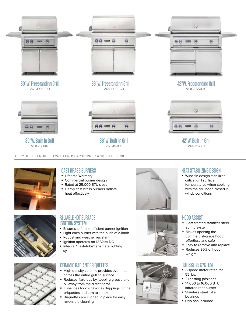

ALL MODELS EQUIPPED WITH PROSEAR BURNER AND ROTISSERIE



## CAST BRASS BURNERS

- Lifetime Warranty
- Commercial burner design
- § Rated at 25,000 BTU's each
- Heavy cast brass burners radiate heat effectively





#### RELIABLE HOT SURFACE IGNITION SYSTEM

- Ensures safe and efficient burner ignition
- Light each burner with the push of a knob
- Robust and weather resistant
- Ignition operates on 12 Volts DC
- § Integral "flash-tube" alternate lighting system

# CERAMIC RADIANT BRIQUETTES

- § High-density ceramic provides even heat across the entire grilling surface
- Reduces flare-ups by keeping grease and oil away from the direct flame
- Enhances food's flavor as drippings hit the briquettes and turn to smoke
- Briquettes are clipped in place for easy reversible cleaning



# HEAT STABILIZING DESIGN

§ Wind-fin design stabilizes critical grill surface temperatures when cooking with the grill hood closed in windy conditions

### HOOD ASSIST

- § Heat treated stainless steel spring system
- § Makes opening the commercial-grade hood effortless and safe
- Easy to remove and replace
- § Reduces 90% of hood weight

#### ROTISSERIE SYSTEM

- 3-speed motor rated for 55 lbs.
- 2 roasting positions
- § 14,000 to 16,000 BTU infrared rear burner
- Stainless steel roller bearings
- § Drip pan included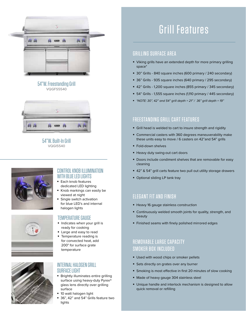

#### 54"W. Freestanding Grill VQGFS5540



54"W. Built-In Grill VQGI5540





### CONTROL KNOB ILLUMINATION WITH BLUE LED LIGHTS

- Each knob features dedicated LED lighting
- § Knob markings can easily be viewed at night
- Single switch activation for blue LED's and internal halogen lights

#### TEMPERATURE GAUGE

- § Indicates when your grill is ready for cooking
- Large and easy to read
- § Temperature reading is for convected heat, add 200° for surface grate temperature



#### INTERNAL HALOGEN GRILL SURFACE LIGHT

- § Brightly illuminates entire grilling surface using heavy-duty Pyrex® glass lens directly over grilling surface
- § 10 watt halogen light
- § 36", 42" and 54" Grills feature two lights

# Grill Features

# GRILLING SURFACE AREA

- § Viking grills have an extended depth for more primary grilling space\*
- § 30" Grills 840 square inches (600 primary / 240 secondary)
- § 36" Grills 935 square inches (640 primary / 295 secondary)
- § 42" Grills 1,200 square inches (855 primary / 345 secondary)
- § 54" Grills 1,555 square inches (1,110 primary / 445 secondary)
- § *\*NOTE: 30", 42" and 54" grill depth = 21" / 36" grill depth = 19"*

# FREESTANDING GRILL CART FEATURES

- § Grill head is welded to cart to insure strength and rigidity
- § Commercial casters with 360 degrees maneuverability make these units easy to move / 6 casters on 42"and 54" grills
- § Fold-down shelves
- § Heavy duty swing-out cart doors
- Doors include condiment shelves that are removable for easy cleaning
- 42" & 54" grill carts feature two pull out utility storage drawers
- Optional sliding LP tank tray

# ELEGANT FIT AND FINISH

- § Heavy 16 gauge stainless construction
- § Continuously welded smooth joints for quality, strength, and beauty
- § Finished seams with finely polished mirrored edges

# REMOVABLE LARGE CAPACITY SMOKER BOX INCLUDED

- Used with wood chips or smoker pellets
- **Sets directly on grates over any burner**
- § Smoking is most effective in first 20 minutes of slow cooking
- Made of heavy gauge 304 stainless steel
- Unique handle and interlock mechanism is designed to allow quick removal or refilling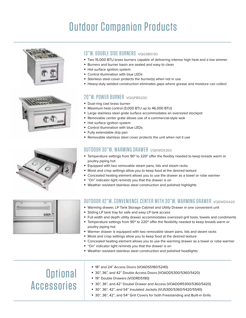# **Outdoor Companion Products**





# 13"W. DOUBLE SIDE BURNERS VOGSB5130

- § Two 15,000 BTU brass burners capable of delivering intense high heat and a low simmer
- Burners and burner basin are sealed and easy to clean
- Hot surface ignition system
- § Control illumination with blue LEDs
- § Stainless steel cover protects the burner(s) when not in use
- **Heavy-duty welded construction eliminates gaps where grease and moisture can collect**

### 20"W. POWER BURNER VQGPB5200

- Dual-ring cast brass burner
- § Maximum heat control (3,000 BTU up to 46,000 BTU)
- § Large stainless steel grate surface accommodates an oversized stockpot
- Removable center grate allows use of a commercial-style wok
- Hot surface ignition system
- § Control illumination with blue LEDs
- § Fully extendable drip pan
- Removable stainless steel cover protects the unit when not it use

# OUTDOOR 30"W. WARMING DRAWER VQEWD5300

- § Temperature settings from 90° to 220° offer the flexibly needed to keep breads warm or poultry piping hot
- Equipped with two removable steam pans, lids and steam racks
- § Moist and crisp settings allow you to keep food at the desired texture
- § Concealed heating element allows you to use the drawer as a towel or robe warmer
- "On" indicator light reminds you that the drawer is on
- § Weather resistant stainless steel construction and polished highlights



### OUTDOOR 42"W. CONVENIENCE CENTER WITH 30"W. WARMING DRAWER vQEWD5420

- Warming drawer, LP Tank Storage Cabinet and Utility Drawer in one convenient unit
- § Sliding LP tank tray for safe and easy LP tank access
- **Full width and depth utility drawer accommodates oversized grill tools, towels and condiments**
- Temperature settings from 90° to 220° offer the flexibility needed to keep breads warm or poultry piping hot
- § Warmer drawer is equipped with two removable steam pans, lids and steam racks
- § Moist and crisp settings allow you to keep food at the desired texture
- Concealed heating element allows you to use the warming drawer as a towel or robe warmer
- "On" indicator light reminds you that the drawer is on
- § Weather resistant stainless steel construction and polished headlights

# **Optional** Accessories

- § 18" and 24" Access Doors (VOADS5180/5240)
- § 30", 36", and 42" Double Access Doors (VOADD5300/5360/5420)
- § 19" Double Drawers (VODRD5190)
- § 30", 36", and 42" Doubel Drawer and Access (VOADDR5300/5360/5420)
- § 30", 36", 42", and 54" Insulated Jackets (VIJ5300/5360/5420/5540)
- 30", 36", 42", and 54" Grill Covers for both Freestanding and Built-in Grills

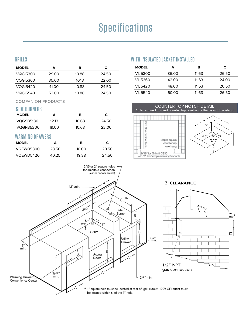# **Specifications** detailed below are designated to assist you with  $\mathcal{S}$

IMPORTANT: Please reference the Care & Use / Installation manual for details on gas plumbing requirements, electrical specifications and

## GRILLS GRILLS

| <b>MODEL</b> | А     | R     | С     |
|--------------|-------|-------|-------|
| VQGI5300     | 29.00 | 10.88 | 24.50 |
| VQGI5360     | 35.00 | 1013  | 22.00 |
| VQGI5420     | 41.00 | 10.88 | 24.50 |
| VQGI5540     | 53.00 | 10.88 | 24.50 |

## COMPANION PRODUCTS

## SIDE BURNERS SIDE BURNERS

| <b>MODEL</b> |       | R     |       |
|--------------|-------|-------|-------|
| VQGSB5130    | 12 13 | 10.63 | 24.50 |
| VQGPB5200    | 19.00 | 10.63 | 22.00 |

## WARMING DRAWERS WARMING DRAWERS

| <b>MODEL</b> |       | в     |       |
|--------------|-------|-------|-------|
| VQEWD5300    | 28.50 | 10.00 | 20.50 |
| VQEWD5420    | 40.25 | 19.38 | 24.50 |

## WITH INSULATED JACKET INSTALLED WITH INSULATED JACKET INSTALLED

| <b>MODEL</b> | А     | R     | С     |
|--------------|-------|-------|-------|
| VIJ5300      | 36.00 | 11.63 | 26.50 |
| VIJ5360      | 42.00 | 11.63 | 24.00 |
| VIJ5420      | 48.00 | 11.63 | 26.50 |
| VIJ5540      | 60.00 | 11.63 | 26.50 |



CARE & USE/INSTALLATION | <sup>9</sup>